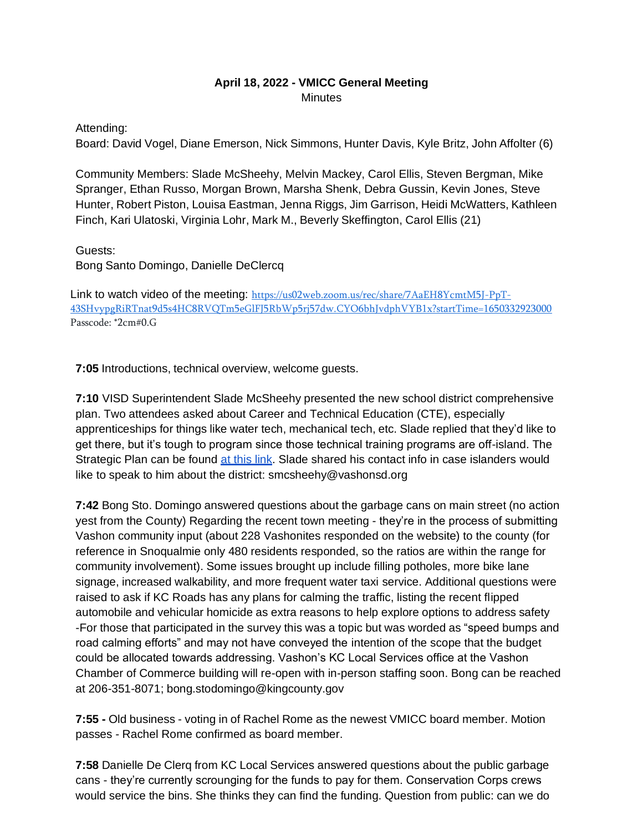### **April 18, 2022 - VMICC General Meeting Minutes**

Attending:

Board: David Vogel, Diane Emerson, Nick Simmons, Hunter Davis, Kyle Britz, John Affolter (6)

Community Members: Slade McSheehy, Melvin Mackey, Carol Ellis, Steven Bergman, Mike Spranger, Ethan Russo, Morgan Brown, Marsha Shenk, Debra Gussin, Kevin Jones, Steve Hunter, Robert Piston, Louisa Eastman, Jenna Riggs, Jim Garrison, Heidi McWatters, Kathleen Finch, Kari Ulatoski, Virginia Lohr, Mark M., Beverly Skeffington, Carol Ellis (21)

Guests:

Bong Santo Domingo, Danielle DeClercq

Link to watch video of the meeting: [https://us02web.zoom.us/rec/share/7AaEH8YcmtM5J-PpT-](https://us02web.zoom.us/rec/share/7AaEH8YcmtM5J-PpT-43SHvypgRiRTnat9d5s4HC8RVQTm5eGlFJ5RbWp5rj57dw.CYO6bhJvdphVYB1x?startTime=1650332923000)[43SHvypgRiRTnat9d5s4HC8RVQTm5eGlFJ5RbWp5rj57dw.CYO6bhJvdphVYB1x?startTime=1650332923000](https://us02web.zoom.us/rec/share/7AaEH8YcmtM5J-PpT-43SHvypgRiRTnat9d5s4HC8RVQTm5eGlFJ5RbWp5rj57dw.CYO6bhJvdphVYB1x?startTime=1650332923000) Passcode: \*2cm#0.G

**7:05** Introductions, technical overview, welcome guests.

**7:10** VISD Superintendent Slade McSheehy presented the new school district comprehensive plan. Two attendees asked about Career and Technical Education (CTE), especially apprenticeships for things like water tech, mechanical tech, etc. Slade replied that they'd like to get there, but it's tough to program since those technical training programs are off-island. The Strategic Plan can be found [at this link.](https://www.vashonsd.org/Page/546) Slade shared his contact info in case islanders would like to speak to him about the district: [smcsheehy@vashonsd.org](mailto:smcsheehy@vashonsd.org)

**7:42** Bong Sto. Domingo answered questions about the garbage cans on main street (no action yest from the County) Regarding the recent town meeting - they're in the process of submitting Vashon community input (about 228 Vashonites responded on the website) to the county (for reference in Snoqualmie only 480 residents responded, so the ratios are within the range for community involvement). Some issues brought up include filling potholes, more bike lane signage, increased walkability, and more frequent water taxi service. Additional questions were raised to ask if KC Roads has any plans for calming the traffic, listing the recent flipped automobile and vehicular homicide as extra reasons to help explore options to address safety -For those that participated in the survey this was a topic but was worded as "speed bumps and road calming efforts" and may not have conveyed the intention of the scope that the budget could be allocated towards addressing. Vashon's KC Local Services office at the Vashon Chamber of Commerce building will re-open with in-person staffing soon. Bong can be reached at 206-351-8071; [bong.stodomingo@kingcounty.gov](mailto:bong.stodomingo@kingcounty.gov)

**7:55 -** Old business - voting in of Rachel Rome as the newest VMICC board member. Motion passes - Rachel Rome confirmed as board member.

**7:58** Danielle De Clerq from KC Local Services answered questions about the public garbage cans - they're currently scrounging for the funds to pay for them. Conservation Corps crews would service the bins. She thinks they can find the funding. Question from public: can we do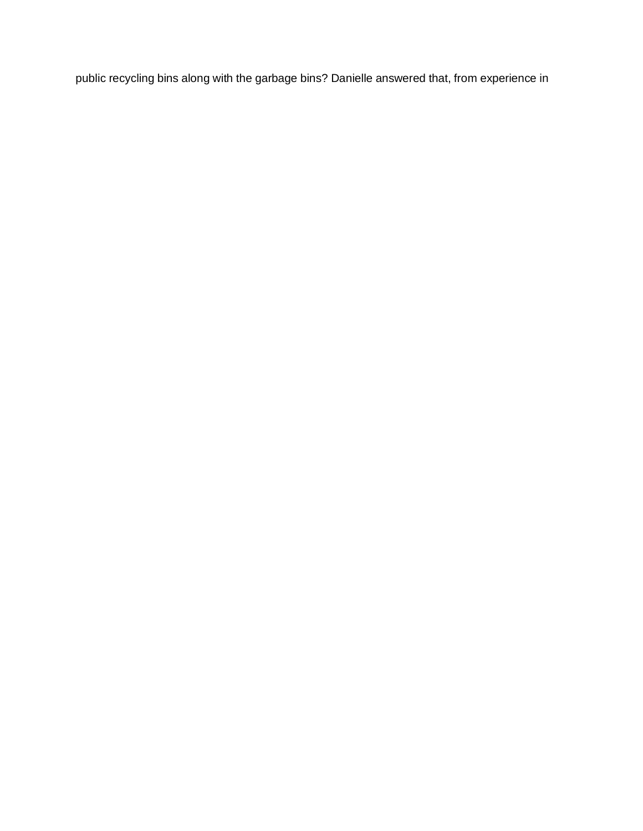public recycling bins along with the garbage bins? Danielle answered that, from experience in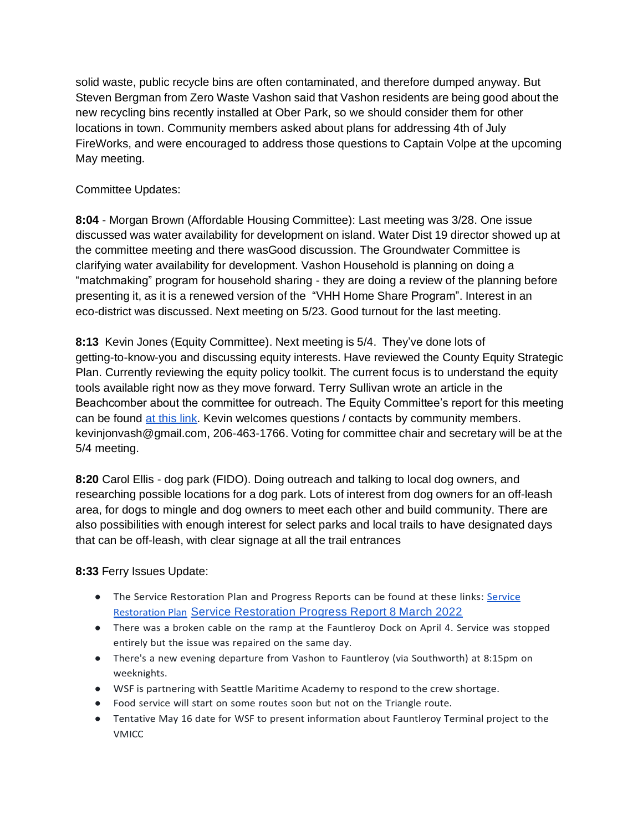solid waste, public recycle bins are often contaminated, and therefore dumped anyway. But Steven Bergman from Zero Waste Vashon said that Vashon residents are being good about the new recycling bins recently installed at Ober Park, so we should consider them for other locations in town. Community members asked about plans for addressing 4th of July FireWorks, and were encouraged to address those questions to Captain Volpe at the upcoming May meeting.

# Committee Updates:

**8:04** - Morgan Brown (Affordable Housing Committee): Last meeting was 3/28. One issue discussed was water availability for development on island. Water Dist 19 director showed up at the committee meeting and there wasGood discussion. The Groundwater Committee is clarifying water availability for development. Vashon Household is planning on doing a "matchmaking" program for household sharing - they are doing a review of the planning before presenting it, as it is a renewed version of the "VHH Home Share Program". Interest in an eco-district was discussed. Next meeting on 5/23. Good turnout for the last meeting.

**8:13** Kevin Jones (Equity Committee). Next meeting is 5/4. They've done lots of getting-to-know-you and discussing equity interests. Have reviewed the County Equity Strategic Plan. Currently reviewing the equity policy toolkit. The current focus is to understand the equity tools available right now as they move forward. Terry Sullivan wrote an article in the Beachcomber about the committee for outreach. The Equity Committee's report for this meeting can be found [at this link.](https://docs.google.com/document/d/1a8EfKOjEx6UEgW3KDX1Kha_yRJ6jOKvU3vCEBT0EiQ8/edit?usp=sharing) Kevin welcomes questions / contacts by community members. [kevinjonvash@gmail.com, 2](mailto:kevinjonvash@gmail.com)06-463-1766. Voting for committee chair and secretary will be at the 5/4 meeting.

**8:20** Carol Ellis - dog park (FIDO). Doing outreach and talking to local dog owners, and researching possible locations for a dog park. Lots of interest from dog owners for an off-leash area, for dogs to mingle and dog owners to meet each other and build community. There are also possibilities with enough interest for select parks and local trails to have designated days that can be off-leash, with clear signage at all the trail entrances

# **8:33** Ferry Issues Update:

- The [Service](http://vmicc.net/wp-content/uploads/2022/04/WSF-COVID19-ServiceRestorationPlan.pdf) Restoration Plan and Progress Reports can be found at these links: Service [Restoration Plan](http://vmicc.net/wp-content/uploads/2022/04/WSF-COVID19-ServiceRestorationPlan.pdf) Service [Restoration](http://vmicc.net/wp-content/uploads/2022/04/WSF-ServiceRestorationPlanProgressReport-8March2022.pdf) Progress Report 8 March 2022
- There was a broken cable on the ramp at the Fauntleroy Dock on April 4. Service was stopped entirely but the issue was repaired on the same day.
- There's a new evening departure from Vashon to Fauntleroy (via Southworth) at 8:15pm on weeknights.
- WSF is partnering with Seattle Maritime Academy to respond to the crew shortage.
- Food service will start on some routes soon but not on the Triangle route.
- Tentative May 16 date for WSF to present information about Fauntleroy Terminal project to the VMICC